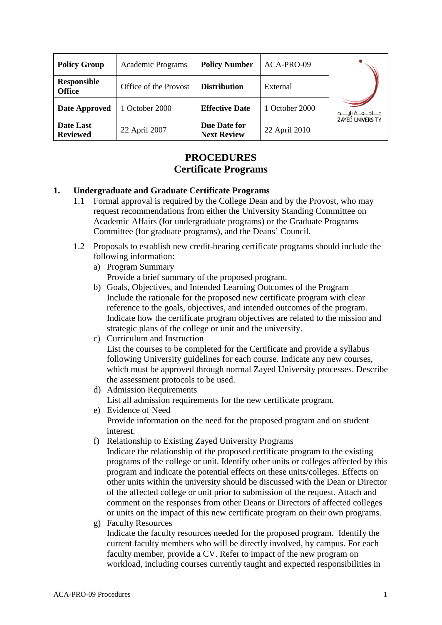| <b>Policy Group</b>                 | Academic Programs     | <b>Policy Number</b>               | ACA-PRO-09     |                             |
|-------------------------------------|-----------------------|------------------------------------|----------------|-----------------------------|
| <b>Responsible</b><br><b>Office</b> | Office of the Provost | <b>Distribution</b>                | External       |                             |
| Date Approved                       | 1 October 2000        | <b>Effective Date</b>              | 1 October 2000 | جــــامــــعــــة زايـــــد |
| Date Last<br><b>Reviewed</b>        | 22 April 2007         | Due Date for<br><b>Next Review</b> | 22 April 2010  | <b>ZAYED UNIVERSITY</b>     |

# **PROCEDURES Certificate Programs**

#### **1. Undergraduate and Graduate Certificate Programs**

- 1.1 Formal approval is required by the College Dean and by the Provost, who may request recommendations from either the University Standing Committee on Academic Affairs (for undergraduate programs) or the Graduate Programs Committee (for graduate programs), and the Deans' Council.
- 1.2 Proposals to establish new credit-bearing certificate programs should include the following information:
	- a) Program Summary Provide a brief summary of the proposed program.
	- b) Goals, Objectives, and Intended Learning Outcomes of the Program Include the rationale for the proposed new certificate program with clear reference to the goals, objectives, and intended outcomes of the program. Indicate how the certificate program objectives are related to the mission and strategic plans of the college or unit and the university.

## c) Curriculum and Instruction

List the courses to be completed for the Certificate and provide a syllabus following University guidelines for each course. Indicate any new courses, which must be approved through normal Zayed University processes. Describe the assessment protocols to be used.

- d) Admission Requirements List all admission requirements for the new certificate program.
- e) Evidence of Need Provide information on the need for the proposed program and on student interest.
- f) Relationship to Existing Zayed University Programs Indicate the relationship of the proposed certificate program to the existing programs of the college or unit. Identify other units or colleges affected by this program and indicate the potential effects on these units/colleges. Effects on other units within the university should be discussed with the Dean or Director of the affected college or unit prior to submission of the request. Attach and
- or units on the impact of this new certificate program on their own programs. g) Faculty Resources

Indicate the faculty resources needed for the proposed program. Identify the current faculty members who will be directly involved, by campus. For each faculty member, provide a CV. Refer to impact of the new program on workload, including courses currently taught and expected responsibilities in

comment on the responses from other Deans or Directors of affected colleges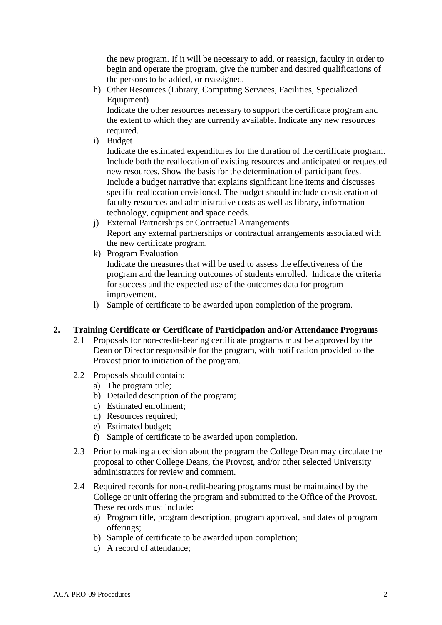the new program. If it will be necessary to add, or reassign, faculty in order to begin and operate the program, give the number and desired qualifications of the persons to be added, or reassigned.

h) Other Resources (Library, Computing Services, Facilities, Specialized Equipment)

Indicate the other resources necessary to support the certificate program and the extent to which they are currently available. Indicate any new resources required.

i) Budget

Indicate the estimated expenditures for the duration of the certificate program. Include both the reallocation of existing resources and anticipated or requested new resources. Show the basis for the determination of participant fees. Include a budget narrative that explains significant line items and discusses specific reallocation envisioned. The budget should include consideration of faculty resources and administrative costs as well as library, information technology, equipment and space needs.

- j) External Partnerships or Contractual Arrangements Report any external partnerships or contractual arrangements associated with the new certificate program.
- k) Program Evaluation Indicate the measures that will be used to assess the effectiveness of the program and the learning outcomes of students enrolled. Indicate the criteria for success and the expected use of the outcomes data for program improvement.
- l) Sample of certificate to be awarded upon completion of the program.

## **2. Training Certificate or Certificate of Participation and/or Attendance Programs**

- 2.1 Proposals for non-credit-bearing certificate programs must be approved by the Dean or Director responsible for the program, with notification provided to the Provost prior to initiation of the program.
- 2.2 Proposals should contain:
	- a) The program title;
	- b) Detailed description of the program;
	- c) Estimated enrollment;
	- d) Resources required;
	- e) Estimated budget;
	- f) Sample of certificate to be awarded upon completion.
- 2.3 Prior to making a decision about the program the College Dean may circulate the proposal to other College Deans, the Provost, and/or other selected University administrators for review and comment.
- 2.4 Required records for non-credit-bearing programs must be maintained by the College or unit offering the program and submitted to the Office of the Provost. These records must include:
	- a) Program title, program description, program approval, and dates of program offerings;
	- b) Sample of certificate to be awarded upon completion;
	- c) A record of attendance;